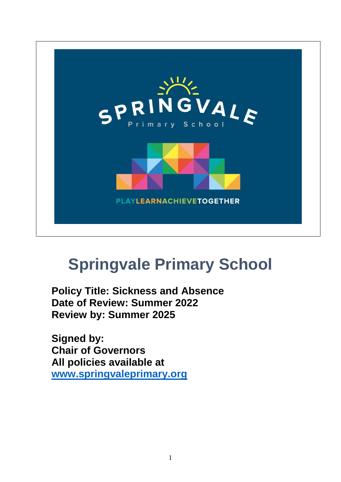

# **Springvale Primary School**

**Policy Title: Sickness and Absence Date of Review: Summer 2022 Review by: Summer 2025**

**Signed by: Chair of Governors All policies available at [www.springvaleprimary.org](http://www.springvaleprimary.org/)**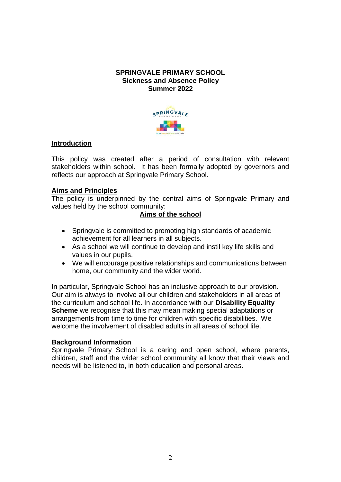### **SPRINGVALE PRIMARY SCHOOL Sickness and Absence Policy Summer 2022**



### **Introduction**

This policy was created after a period of consultation with relevant stakeholders within school. It has been formally adopted by governors and reflects our approach at Springvale Primary School.

### **Aims and Principles**

The policy is underpinned by the central aims of Springvale Primary and values held by the school community:

### **Aims of the school**

- Springvale is committed to promoting high standards of academic achievement for all learners in all subjects.
- As a school we will continue to develop and instil key life skills and values in our pupils.
- We will encourage positive relationships and communications between home, our community and the wider world.

In particular, Springvale School has an inclusive approach to our provision. Our aim is always to involve all our children and stakeholders in all areas of the curriculum and school life. In accordance with our **Disability Equality Scheme** we recognise that this may mean making special adaptations or arrangements from time to time for children with specific disabilities. We welcome the involvement of disabled adults in all areas of school life.

### **Background Information**

Springvale Primary School is a caring and open school, where parents, children, staff and the wider school community all know that their views and needs will be listened to, in both education and personal areas.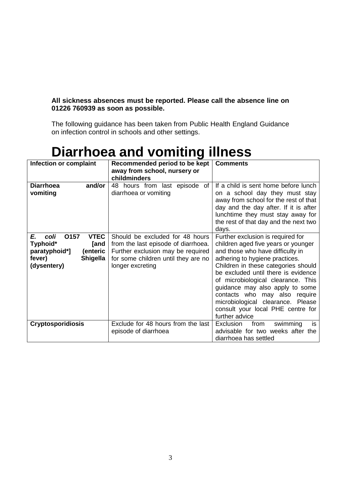### **All sickness absences must be reported. Please call the absence line on 01226 760939 as soon as possible.**

The following guidance has been taken from Public Health England Guidance on infection control in schools and other settings.

### **Diarrhoea and vomiting illness**

| Infection or complaint                                                                                                         | Recommended period to be kept                                                                                                                                          | <b>Comments</b>                                                                                                                                                                                                                                                                                                                                                                                                                    |
|--------------------------------------------------------------------------------------------------------------------------------|------------------------------------------------------------------------------------------------------------------------------------------------------------------------|------------------------------------------------------------------------------------------------------------------------------------------------------------------------------------------------------------------------------------------------------------------------------------------------------------------------------------------------------------------------------------------------------------------------------------|
|                                                                                                                                | away from school, nursery or                                                                                                                                           |                                                                                                                                                                                                                                                                                                                                                                                                                                    |
|                                                                                                                                | childminders                                                                                                                                                           |                                                                                                                                                                                                                                                                                                                                                                                                                                    |
| <b>Diarrhoea</b><br>and/or<br>vomiting                                                                                         | of<br>48 hours from last episode<br>diarrhoea or vomiting                                                                                                              | If a child is sent home before lunch<br>on a school day they must stay<br>away from school for the rest of that<br>day and the day after. If it is after<br>lunchtime they must stay away for                                                                                                                                                                                                                                      |
|                                                                                                                                |                                                                                                                                                                        | the rest of that day and the next two<br>days.                                                                                                                                                                                                                                                                                                                                                                                     |
| 0157<br><b>VTEC</b><br>E.<br>coli<br>Typhoid*<br>[and<br>paratyphoid*]<br>(enteric<br>fever)<br><b>Shigella</b><br>(dysentery) | Should be excluded for 48 hours<br>from the last episode of diarrhoea.<br>Further exclusion may be required<br>for some children until they are no<br>longer excreting | Further exclusion is required for<br>children aged five years or younger<br>and those who have difficulty in<br>adhering to hygiene practices.<br>Children in these categories should<br>be excluded until there is evidence<br>of microbiological clearance. This<br>guidance may also apply to some<br>contacts who may also require<br>microbiological clearance. Please<br>consult your local PHE centre for<br>further advice |
| <b>Cryptosporidiosis</b>                                                                                                       | Exclude for 48 hours from the last<br>episode of diarrhoea                                                                                                             | Exclusion<br>from<br>swimming<br>is.<br>advisable for two weeks after the<br>diarrhoea has settled                                                                                                                                                                                                                                                                                                                                 |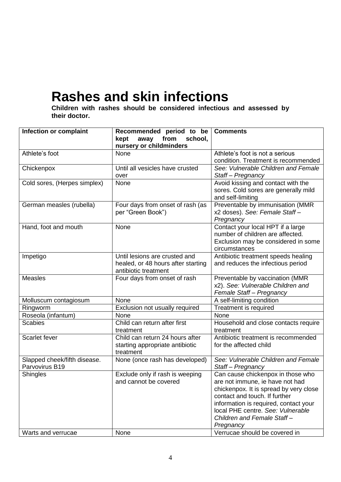### **Rashes and skin infections**

**Children with rashes should be considered infectious and assessed by their doctor.**

| Infection or complaint                         | Recommended period to be<br>kept<br>away from<br>school,                                    | <b>Comments</b>                                                                                                                                                                                                                                                          |
|------------------------------------------------|---------------------------------------------------------------------------------------------|--------------------------------------------------------------------------------------------------------------------------------------------------------------------------------------------------------------------------------------------------------------------------|
|                                                | nursery or childminders                                                                     |                                                                                                                                                                                                                                                                          |
| Athlete's foot                                 | None                                                                                        | Athlete's foot is not a serious<br>condition. Treatment is recommended                                                                                                                                                                                                   |
| Chickenpox                                     | Until all vesicles have crusted<br>over                                                     | See: Vulnerable Children and Female<br>Staff-Pregnancy                                                                                                                                                                                                                   |
| Cold sores, (Herpes simplex)                   | None                                                                                        | Avoid kissing and contact with the<br>sores. Cold sores are generally mild<br>and self-limiting                                                                                                                                                                          |
| German measles (rubella)                       | Four days from onset of rash (as<br>per "Green Book")                                       | Preventable by immunisation (MMR<br>x2 doses). See: Female Staff-<br>Pregnancy                                                                                                                                                                                           |
| Hand, foot and mouth                           | None                                                                                        | Contact your local HPT if a large<br>number of children are affected.<br>Exclusion may be considered in some<br>circumstances                                                                                                                                            |
| Impetigo                                       | Until lesions are crusted and<br>healed, or 48 hours after starting<br>antibiotic treatment | Antibiotic treatment speeds healing<br>and reduces the infectious period                                                                                                                                                                                                 |
| <b>Measles</b>                                 | Four days from onset of rash                                                                | Preventable by vaccination (MMR<br>x2). See: Vulnerable Children and<br>Female Staff - Pregnancy                                                                                                                                                                         |
| Molluscum contagiosum                          | None                                                                                        | A self-limiting condition                                                                                                                                                                                                                                                |
| Ringworm                                       | Exclusion not usually required                                                              | Treatment is required                                                                                                                                                                                                                                                    |
| Roseola (infantum)                             | None                                                                                        | None                                                                                                                                                                                                                                                                     |
| <b>Scabies</b>                                 | Child can return after first<br>treatment                                                   | Household and close contacts require<br>treatment                                                                                                                                                                                                                        |
| Scarlet fever                                  | Child can return 24 hours after<br>starting appropriate antibiotic<br>treatment             | Antibiotic treatment is recommended<br>for the affected child                                                                                                                                                                                                            |
| Slapped cheek/fifth disease.<br>Parvovirus B19 | None (once rash has developed)                                                              | See: Vulnerable Children and Female<br>Staff-Pregnancy                                                                                                                                                                                                                   |
| <b>Shingles</b>                                | Exclude only if rash is weeping<br>and cannot be covered                                    | Can cause chickenpox in those who<br>are not immune, ie have not had<br>chickenpox. It is spread by very close<br>contact and touch. If further<br>information is required, contact your<br>local PHE centre. See: Vulnerable<br>Children and Female Staff-<br>Pregnancy |
| Warts and verrucae                             | None                                                                                        | Verrucae should be covered in                                                                                                                                                                                                                                            |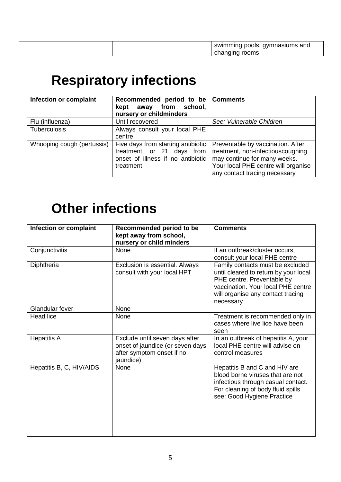| gymnasiums and<br>swimi<br>* pools,<br>mminc<br>ັ |  |
|---------------------------------------------------|--|
| rooms                                             |  |
|                                                   |  |

## **Respiratory infections**

| Infection or complaint     | Recommended period to be Comments<br>from<br>school,<br>kept<br>away<br>nursery or childminders                    |                                                                                                                                                                                |
|----------------------------|--------------------------------------------------------------------------------------------------------------------|--------------------------------------------------------------------------------------------------------------------------------------------------------------------------------|
| Flu (influenza)            | Until recovered                                                                                                    | See: Vulnerable Children                                                                                                                                                       |
| <b>Tuberculosis</b>        | Always consult your local PHE<br>centre                                                                            |                                                                                                                                                                                |
| Whooping cough (pertussis) | Five days from starting antibiotic<br>treatment, or 21 days from<br>onset of illness if no antibiotic<br>treatment | Preventable by vaccination. After<br>treatment, non-infectiouscoughing<br>may continue for many weeks.<br>Your local PHE centre will organise<br>any contact tracing necessary |

### **Other infections**

| Infection or complaint   | Recommended period to be<br>kept away from school,<br>nursery or child minders                               | <b>Comments</b>                                                                                                                                                                                 |
|--------------------------|--------------------------------------------------------------------------------------------------------------|-------------------------------------------------------------------------------------------------------------------------------------------------------------------------------------------------|
| Conjunctivitis           | None                                                                                                         | If an outbreak/cluster occurs,<br>consult your local PHE centre                                                                                                                                 |
| Diphtheria               | Exclusion is essential. Always<br>consult with your local HPT                                                | Family contacts must be excluded<br>until cleared to return by your local<br>PHE centre. Preventable by<br>vaccination. Your local PHE centre<br>will organise any contact tracing<br>necessary |
| Glandular fever          | None                                                                                                         |                                                                                                                                                                                                 |
| <b>Head lice</b>         | None                                                                                                         | Treatment is recommended only in<br>cases where live lice have been<br>seen                                                                                                                     |
| <b>Hepatitis A</b>       | Exclude until seven days after<br>onset of jaundice (or seven days<br>after symptom onset if no<br>jaundice) | In an outbreak of hepatitis A, your<br>local PHE centre will advise on<br>control measures                                                                                                      |
| Hepatitis B, C, HIV/AIDS | None                                                                                                         | Hepatitis B and C and HIV are<br>blood borne viruses that are not<br>infectious through casual contact.<br>For cleaning of body fluid spills<br>see: Good Hygiene Practice                      |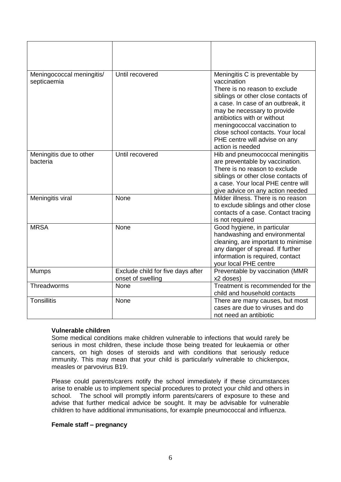| Meningococcal meningitis/<br>septicaemia | Until recovered                                        | Meningitis C is preventable by<br>vaccination<br>There is no reason to exclude<br>siblings or other close contacts of<br>a case. In case of an outbreak, it<br>may be necessary to provide<br>antibiotics with or without<br>meningococcal vaccination to<br>close school contacts. Your local<br>PHE centre will advise on any<br>action is needed |
|------------------------------------------|--------------------------------------------------------|-----------------------------------------------------------------------------------------------------------------------------------------------------------------------------------------------------------------------------------------------------------------------------------------------------------------------------------------------------|
| Meningitis due to other<br>bacteria      | Until recovered                                        | Hib and pneumococcal meningitis<br>are preventable by vaccination.<br>There is no reason to exclude<br>siblings or other close contacts of<br>a case. Your local PHE centre will<br>give advice on any action needed                                                                                                                                |
| Meningitis viral                         | None                                                   | Milder illness. There is no reason<br>to exclude siblings and other close<br>contacts of a case. Contact tracing<br>is not required                                                                                                                                                                                                                 |
| <b>MRSA</b>                              | None                                                   | Good hygiene, in particular<br>handwashing and environmental<br>cleaning, are important to minimise<br>any danger of spread. If further<br>information is required, contact<br>your local PHE centre                                                                                                                                                |
| <b>Mumps</b>                             | Exclude child for five days after<br>onset of swelling | Preventable by vaccination (MMR<br>x2 doses)                                                                                                                                                                                                                                                                                                        |
| Threadworms                              | None                                                   | Treatment is recommended for the<br>child and household contacts                                                                                                                                                                                                                                                                                    |
| <b>Tonsillitis</b>                       | None                                                   | There are many causes, but most<br>cases are due to viruses and do<br>not need an antibiotic                                                                                                                                                                                                                                                        |

#### **Vulnerable children**

Some medical conditions make children vulnerable to infections that would rarely be serious in most children, these include those being treated for leukaemia or other cancers, on high doses of steroids and with conditions that seriously reduce immunity. This may mean that your child is particularly vulnerable to chickenpox, measles or parvovirus B19.

Please could parents/carers notify the school immediately if these circumstances arise to enable us to implement special procedures to protect your child and others in school. The school will promptly inform parents/carers of exposure to these and advise that further medical advice be sought. It may be advisable for vulnerable children to have additional immunisations, for example pneumococcal and influenza.

#### **Female staff – pregnancy**